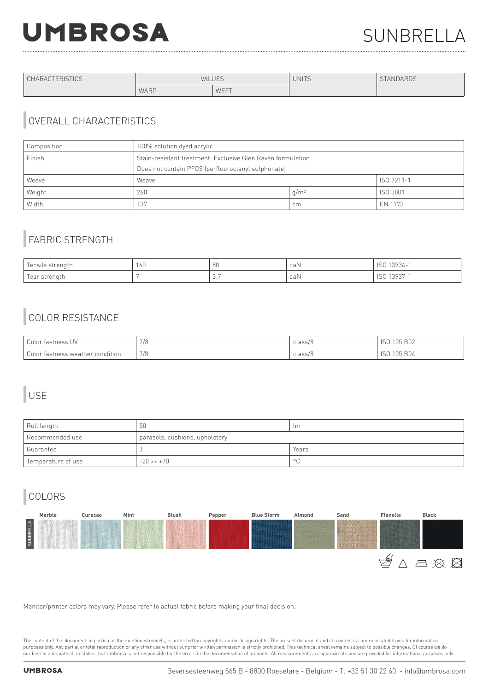# **UMBROSA**

| <b>CHARACTERISTICS</b> | <b>VALUES</b> |      | <b>UNITS</b> | <b>STANDARDS</b> |
|------------------------|---------------|------|--------------|------------------|
|                        | WARP          | WEFT |              |                  |

### OVERALL CHARACTERISTICS

| Composition | 100% solution dyed acrylic                                   |                  |          |
|-------------|--------------------------------------------------------------|------------------|----------|
| Finish      | Stain-resistant treatment: Exclusive Glen Raven formulation. |                  |          |
|             | Does not contain PFOS (perfluoroctanyl sulphonate)           |                  |          |
| Weave       | ISO 7211-1<br>Weave                                          |                  |          |
| Weight      | 260                                                          | q/m <sup>2</sup> | ISO 3801 |
| Width       | 137                                                          | cm               | EN 1773  |

## FABRIC STRENGTH

| $\overline{\phantom{0}}$<br>lensile<br>*r≏natn | 160 | 80       | daN | $\cdots$ 1000 $\cdots$<br>-3734                        |
|------------------------------------------------|-----|----------|-----|--------------------------------------------------------|
| $\overline{\phantom{0}}$<br>rear<br>enatr      |     | $\cup$ . | daN | .1202<br>. <i>.</i><br>the contract of the contract of |

# COLOR RESISTANCE

| Color fastness UV                | 7/8 | class/8 | <b>B02</b><br>105<br>1 U U<br>$\sim$ |
|----------------------------------|-----|---------|--------------------------------------|
| Color fastness weather condition | 7/8 | class/8 | <b>B04</b><br>∩ҕ<br>UU               |

### USE

| Roll length        | 50                             | lm             |  |
|--------------------|--------------------------------|----------------|--|
| l Recommended use  | parasols, cushions, upholstery |                |  |
| l Guarantee        |                                | Years          |  |
| Temperature of use | $-20 \rightarrow +70$          | $\circ$ $\cap$ |  |

# COLORS



Monitor/printer colors may vary. Please refer to actual fabric before making your final decision.

The content of this document, in particular the mentioned models, is protected by copyrights and/or design rights. The present document and its content is communicated to you for information purposes only. Any partial or total reproduction or any other use without our prior written permission is strictly prohibited. This technical sheet remains subject to possible changes. Of course we do our best to eliminate all mistakes, but Umbrosa is not responsible for the errors in the documentation of products. All measurements are approximate and are provided for informational purposes only.